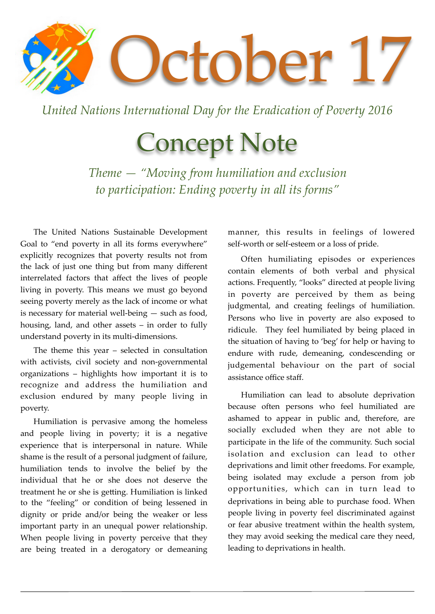

*United Nations International Day for the Eradication of Poverty 2016*

## Concept Note

*Theme — "Moving from humiliation and exclusion to participation: Ending poverty in all its forms"*

The United Nations Sustainable Development Goal to "end poverty in all its forms everywhere" explicitly recognizes that poverty results not from the lack of just one thing but from many different interrelated factors that affect the lives of people living in poverty. This means we must go beyond seeing poverty merely as the lack of income or what is necessary for material well-being — such as food, housing, land, and other assets – in order to fully understand poverty in its multi-dimensions.

The theme this year – selected in consultation with activists, civil society and non-governmental organizations – highlights how important it is to recognize and address the humiliation and exclusion endured by many people living in poverty.

Humiliation is pervasive among the homeless and people living in poverty; it is a negative experience that is interpersonal in nature. While shame is the result of a personal judgment of failure, humiliation tends to involve the belief by the individual that he or she does not deserve the treatment he or she is getting. Humiliation is linked to the "feeling" or condition of being lessened in dignity or pride and/or being the weaker or less important party in an unequal power relationship. When people living in poverty perceive that they are being treated in a derogatory or demeaning manner, this results in feelings of lowered self-worth or self-esteem or a loss of pride.

Often humiliating episodes or experiences contain elements of both verbal and physical actions. Frequently, "looks" directed at people living in poverty are perceived by them as being judgmental, and creating feelings of humiliation. Persons who live in poverty are also exposed to ridicule. They feel humiliated by being placed in the situation of having to 'beg' for help or having to endure with rude, demeaning, condescending or judgemental behaviour on the part of social assistance office staff.

Humiliation can lead to absolute deprivation because often persons who feel humiliated are ashamed to appear in public and, therefore, are socially excluded when they are not able to participate in the life of the community. Such social isolation and exclusion can lead to other deprivations and limit other freedoms. For example, being isolated may exclude a person from job opportunities, which can in turn lead to deprivations in being able to purchase food. When people living in poverty feel discriminated against or fear abusive treatment within the health system, they may avoid seeking the medical care they need, leading to deprivations in health.